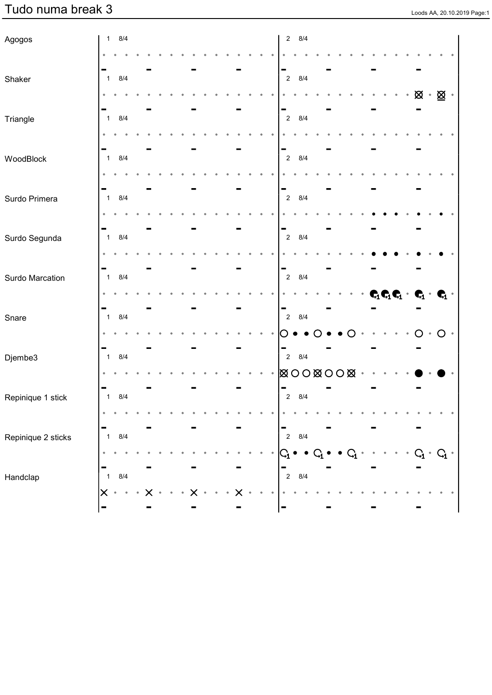| Agogos             | 1              | 8/4   |  |  |  |  |  | $\overline{2}$ | 8/4                                                 |  |  |  |  |                                                                                 |       |
|--------------------|----------------|-------|--|--|--|--|--|----------------|-----------------------------------------------------|--|--|--|--|---------------------------------------------------------------------------------|-------|
|                    |                |       |  |  |  |  |  |                |                                                     |  |  |  |  |                                                                                 |       |
| Shaker             | $\mathbf{1}$   | 8/4   |  |  |  |  |  | $\overline{2}$ | 8/4                                                 |  |  |  |  |                                                                                 |       |
|                    |                |       |  |  |  |  |  |                |                                                     |  |  |  |  | $\boxtimes \cdot \boxtimes \cdot$                                               |       |
| Triangle           | $\mathbf{1}$   | 8/4   |  |  |  |  |  | $\overline{2}$ | 8/4                                                 |  |  |  |  |                                                                                 |       |
|                    |                |       |  |  |  |  |  |                |                                                     |  |  |  |  |                                                                                 |       |
|                    |                |       |  |  |  |  |  |                |                                                     |  |  |  |  |                                                                                 |       |
| WoodBlock          | $\mathbf{1}$   | 8/4   |  |  |  |  |  | $\overline{2}$ | 8/4                                                 |  |  |  |  |                                                                                 |       |
|                    |                |       |  |  |  |  |  |                |                                                     |  |  |  |  |                                                                                 |       |
| Surdo Primera      | $\mathbf{1}$   | 8/4   |  |  |  |  |  | $\overline{2}$ | 8/4                                                 |  |  |  |  |                                                                                 |       |
|                    |                |       |  |  |  |  |  |                |                                                     |  |  |  |  |                                                                                 |       |
| Surdo Segunda      | $\mathbf{1}$   | 8/4   |  |  |  |  |  | $\overline{2}$ | 8/4                                                 |  |  |  |  |                                                                                 |       |
|                    |                |       |  |  |  |  |  |                |                                                     |  |  |  |  |                                                                                 |       |
| Surdo Marcation    | $\mathbf{1}$   | 8/4   |  |  |  |  |  | $\overline{2}$ | 8/4                                                 |  |  |  |  |                                                                                 |       |
|                    |                |       |  |  |  |  |  |                |                                                     |  |  |  |  | $\pmb{C}_1 \pmb{C}_1 \pmb{C}_1 \qquad \pmb{C}_1 \qquad \pmb{C}_2 \qquad \qquad$ |       |
|                    |                |       |  |  |  |  |  |                |                                                     |  |  |  |  |                                                                                 |       |
| Snare              | $\mathbf{1}$   | 8/4   |  |  |  |  |  | $\overline{2}$ | 8/4                                                 |  |  |  |  |                                                                                 |       |
|                    |                |       |  |  |  |  |  |                |                                                     |  |  |  |  | $\circ$ 0                                                                       | $O^*$ |
| Djembe3            | $\mathbf{1}$   | 8/4   |  |  |  |  |  | $\overline{2}$ | 8/4                                                 |  |  |  |  |                                                                                 |       |
|                    |                |       |  |  |  |  |  |                | $\boxtimes$ 0000000                                 |  |  |  |  |                                                                                 |       |
| Repinique 1 stick  | $\mathbf{1}$   | 8/4   |  |  |  |  |  | $\overline{2}$ | 8/4                                                 |  |  |  |  |                                                                                 |       |
|                    |                |       |  |  |  |  |  |                |                                                     |  |  |  |  |                                                                                 |       |
| Repinique 2 sticks | $\overline{1}$ | 8/4   |  |  |  |  |  |                | $\Bigg  \begin{array}{cc} - \\ 2 & 8/4 \end{array}$ |  |  |  |  |                                                                                 |       |
|                    |                |       |  |  |  |  |  |                | $ C_1 \bullet \bullet $                             |  |  |  |  | $\mathrm{C}_\mathrm{1}$ $^{\circ}$ $\mathrm{C}_\mathrm{1}$ $^{\circ}$           |       |
|                    |                |       |  |  |  |  |  |                | $\begin{vmatrix} - & & \\ 2 & 8/4 \end{vmatrix}$    |  |  |  |  |                                                                                 |       |
| Handclap           | $\mathbf{1}$   | $8/4$ |  |  |  |  |  |                |                                                     |  |  |  |  |                                                                                 |       |
|                    |                |       |  |  |  |  |  |                |                                                     |  |  |  |  |                                                                                 |       |
|                    |                |       |  |  |  |  |  |                |                                                     |  |  |  |  |                                                                                 |       |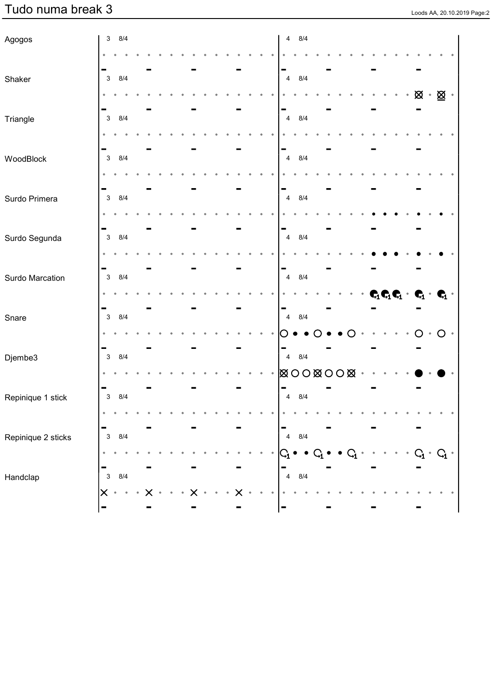3 8/4

× ×

ł

3 8/4

l, J.

 $\bullet$  $\bullet$  $\ddot{\phantom{a}}$ 

Agogos

Shaker

|  |  |  |  | $\overline{4}$ | 8/4                                         |  |  |  |  |           |             |               |  |  |
|--|--|--|--|----------------|---------------------------------------------|--|--|--|--|-----------|-------------|---------------|--|--|
|  |  |  |  |                |                                             |  |  |  |  |           |             |               |  |  |
|  |  |  |  |                | $\begin{vmatrix} -4 & 8/4 \end{vmatrix}$    |  |  |  |  |           |             |               |  |  |
|  |  |  |  |                |                                             |  |  |  |  | $\bullet$ | $\otimes$ . | $\boxtimes$ . |  |  |
|  |  |  |  |                | $\begin{bmatrix} 1 \ 4 \ 8/4 \end{bmatrix}$ |  |  |  |  |           |             |               |  |  |
|  |  |  |  |                |                                             |  |  |  |  |           |             |               |  |  |
|  |  |  |  | $\pmb{4}$      | 8/4                                         |  |  |  |  |           |             |               |  |  |

| Triangle           | $\mathbf{3}$        | 8/4 |  |  |  |  |  |  | $\overline{4}$                   | 8/4       |                 |                         |  |  |  |                                                                               |         |  |
|--------------------|---------------------|-----|--|--|--|--|--|--|----------------------------------|-----------|-----------------|-------------------------|--|--|--|-------------------------------------------------------------------------------|---------|--|
|                    |                     |     |  |  |  |  |  |  |                                  |           |                 |                         |  |  |  |                                                                               |         |  |
| WoodBlock          | $\mathbf{3}$        | 8/4 |  |  |  |  |  |  | $\overline{4}$                   | 8/4       |                 |                         |  |  |  |                                                                               |         |  |
|                    |                     |     |  |  |  |  |  |  |                                  |           |                 |                         |  |  |  |                                                                               |         |  |
| Surdo Primera      | $\mathbf{3}$        | 8/4 |  |  |  |  |  |  | $\overline{4}$                   | 8/4       |                 |                         |  |  |  |                                                                               |         |  |
|                    |                     |     |  |  |  |  |  |  |                                  |           |                 |                         |  |  |  |                                                                               |         |  |
| Surdo Segunda      | $\mathbf{3}$        | 8/4 |  |  |  |  |  |  | $\overline{4}$                   | 8/4       |                 |                         |  |  |  |                                                                               |         |  |
| Surdo Marcation    | $\mathbf{3}$        | 8/4 |  |  |  |  |  |  | $\overline{4}$                   | 8/4       |                 |                         |  |  |  |                                                                               |         |  |
|                    |                     |     |  |  |  |  |  |  |                                  |           |                 |                         |  |  |  | $\mathbf{C}_1\mathbf{C}_1\mathbf{C}_1\cdot\mathbf{C}_1\cdot\mathbf{C}_1\cdot$ |         |  |
| Snare              | $\mathbf{3}$        | 8/4 |  |  |  |  |  |  | $\overline{4}$                   | 8/4       |                 |                         |  |  |  |                                                                               |         |  |
|                    |                     |     |  |  |  |  |  |  |                                  |           |                 |                         |  |  |  |                                                                               | $\circ$ |  |
| Djembe3            | $\mathbf{3}$        | 8/4 |  |  |  |  |  |  | $\overline{4}$<br><b>XOOXOOX</b> | 8/4       |                 |                         |  |  |  |                                                                               |         |  |
| Repinique 1 stick  | $\mathbf{3}$        | 8/4 |  |  |  |  |  |  | $\overline{4}$                   | 8/4       |                 |                         |  |  |  |                                                                               |         |  |
|                    |                     |     |  |  |  |  |  |  |                                  |           |                 |                         |  |  |  |                                                                               |         |  |
| Repinique 2 sticks | $\mathbf{3}$        | 8/4 |  |  |  |  |  |  | $\overline{4}$                   | 8/4       |                 |                         |  |  |  |                                                                               |         |  |
|                    |                     |     |  |  |  |  |  |  | $\rm G$                          | $\bullet$ | $\bullet$ $G_1$ | $\bullet$ $C_1 \bullet$ |  |  |  | $C_1$ $\cdot$ $C_1$ $\cdot$                                                   |         |  |
| Handclap           | $\mathbf{3}$        | 8/4 |  |  |  |  |  |  | $\overline{4}$                   | 8/4       |                 |                         |  |  |  |                                                                               |         |  |
|                    | X<br>$\blacksquare$ |     |  |  |  |  |  |  |                                  |           |                 |                         |  |  |  |                                                                               |         |  |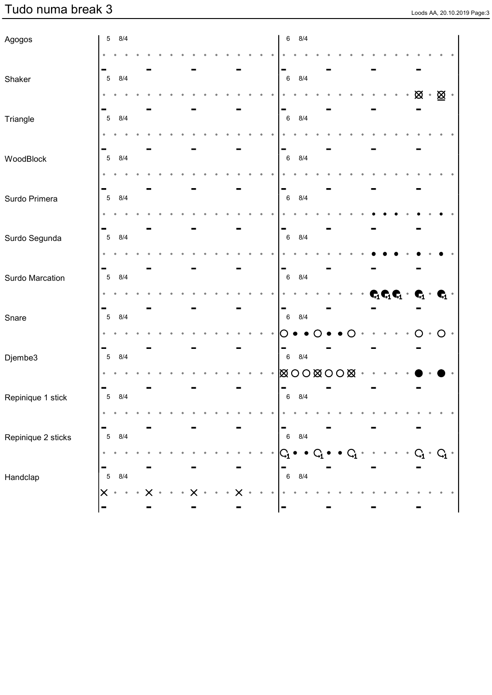| Agogos             | 8/4<br>$\,$ 5 $\,$         |  |  |  |  |  |  | $\,6\,$                                                        | 8/4     |  |  |  |  |                                                                                                                                                                                                                                                                                                                                                                                                                                         |           |               |  |
|--------------------|----------------------------|--|--|--|--|--|--|----------------------------------------------------------------|---------|--|--|--|--|-----------------------------------------------------------------------------------------------------------------------------------------------------------------------------------------------------------------------------------------------------------------------------------------------------------------------------------------------------------------------------------------------------------------------------------------|-----------|---------------|--|
|                    |                            |  |  |  |  |  |  |                                                                |         |  |  |  |  |                                                                                                                                                                                                                                                                                                                                                                                                                                         |           |               |  |
| Shaker             | 8/4<br>$\mathbf 5$         |  |  |  |  |  |  | -<br>$\,6\,$                                                   | 8/4     |  |  |  |  |                                                                                                                                                                                                                                                                                                                                                                                                                                         |           |               |  |
|                    |                            |  |  |  |  |  |  |                                                                |         |  |  |  |  | $\otimes$ .                                                                                                                                                                                                                                                                                                                                                                                                                             |           | $\boxtimes$ . |  |
|                    |                            |  |  |  |  |  |  | $\overline{\phantom{a}}$                                       |         |  |  |  |  |                                                                                                                                                                                                                                                                                                                                                                                                                                         |           |               |  |
| Triangle           | 8/4<br>$\mathbf 5$         |  |  |  |  |  |  | $\,6\,$                                                        | 8/4     |  |  |  |  |                                                                                                                                                                                                                                                                                                                                                                                                                                         |           |               |  |
|                    |                            |  |  |  |  |  |  | -                                                              |         |  |  |  |  |                                                                                                                                                                                                                                                                                                                                                                                                                                         |           |               |  |
| WoodBlock          | 8/4<br>$\mathbf 5$         |  |  |  |  |  |  | $\,6\,$                                                        | 8/4     |  |  |  |  |                                                                                                                                                                                                                                                                                                                                                                                                                                         |           |               |  |
|                    |                            |  |  |  |  |  |  |                                                                |         |  |  |  |  |                                                                                                                                                                                                                                                                                                                                                                                                                                         |           |               |  |
| Surdo Primera      | -<br>8/4<br>$\,$ 5 $\,$    |  |  |  |  |  |  | -<br>$\,6\,$                                                   | 8/4     |  |  |  |  |                                                                                                                                                                                                                                                                                                                                                                                                                                         |           |               |  |
|                    |                            |  |  |  |  |  |  |                                                                |         |  |  |  |  |                                                                                                                                                                                                                                                                                                                                                                                                                                         |           |               |  |
|                    | н.                         |  |  |  |  |  |  | -                                                              |         |  |  |  |  |                                                                                                                                                                                                                                                                                                                                                                                                                                         |           |               |  |
| Surdo Segunda      | 8/4<br>$\mathbf 5$         |  |  |  |  |  |  | $\,6\,$                                                        | 8/4     |  |  |  |  |                                                                                                                                                                                                                                                                                                                                                                                                                                         |           |               |  |
|                    |                            |  |  |  |  |  |  |                                                                |         |  |  |  |  |                                                                                                                                                                                                                                                                                                                                                                                                                                         |           |               |  |
| Surdo Marcation    | 8/4<br>$\sqrt{5}$          |  |  |  |  |  |  | -<br>$\,6\,$                                                   | 8/4     |  |  |  |  |                                                                                                                                                                                                                                                                                                                                                                                                                                         |           |               |  |
|                    |                            |  |  |  |  |  |  |                                                                |         |  |  |  |  | $\begin{array}{ccccccccc}\n\mathbf{C}_1 & \mathbf{C}_1 & \mathbf{C}_1 & \mathbf{C}_1 & \mathbf{C}_1 & \mathbf{C}_1 & \mathbf{C}_1 & \mathbf{C}_1 & \mathbf{C}_1 & \mathbf{C}_1 & \mathbf{C}_1 & \mathbf{C}_1 & \mathbf{C}_1 & \mathbf{C}_1 & \mathbf{C}_1 & \mathbf{C}_1 & \mathbf{C}_1 & \mathbf{C}_1 & \mathbf{C}_1 & \mathbf{C}_1 & \mathbf{C}_1 & \mathbf{C}_1 & \mathbf{C}_1 & \mathbf{C}_1 & \mathbf{C}_1 & \mathbf{C}_1 & \math$ |           |               |  |
|                    |                            |  |  |  |  |  |  | ▀                                                              |         |  |  |  |  |                                                                                                                                                                                                                                                                                                                                                                                                                                         |           |               |  |
| Snare              | 8/4<br>$\,$ 5 $\,$         |  |  |  |  |  |  | $\,6\,$                                                        | 8/4     |  |  |  |  |                                                                                                                                                                                                                                                                                                                                                                                                                                         |           |               |  |
|                    |                            |  |  |  |  |  |  |                                                                |         |  |  |  |  |                                                                                                                                                                                                                                                                                                                                                                                                                                         | $\bullet$ | $\circ$       |  |
| Djembe3            | 8/4<br>$\,$ 5 $\,$         |  |  |  |  |  |  | $\,6\,$                                                        | 8/4     |  |  |  |  |                                                                                                                                                                                                                                                                                                                                                                                                                                         |           |               |  |
|                    |                            |  |  |  |  |  |  |                                                                |         |  |  |  |  |                                                                                                                                                                                                                                                                                                                                                                                                                                         |           |               |  |
| Repinique 1 stick  | 8/4<br>$\sqrt{5}$          |  |  |  |  |  |  | $\,6$                                                          | 8/4     |  |  |  |  |                                                                                                                                                                                                                                                                                                                                                                                                                                         |           |               |  |
|                    |                            |  |  |  |  |  |  |                                                                |         |  |  |  |  |                                                                                                                                                                                                                                                                                                                                                                                                                                         |           |               |  |
|                    |                            |  |  |  |  |  |  |                                                                |         |  |  |  |  |                                                                                                                                                                                                                                                                                                                                                                                                                                         |           |               |  |
| Repinique 2 sticks | $\sqrt{5}$<br>$8/4\,$      |  |  |  |  |  |  | $\begin{array}{c}\n\bullet \\ \bullet \\ \bullet\n\end{array}$ | $8/4\,$ |  |  |  |  |                                                                                                                                                                                                                                                                                                                                                                                                                                         |           |               |  |
|                    |                            |  |  |  |  |  |  | $  \mathsf{G}_\mathbf{l}$                                      |         |  |  |  |  |                                                                                                                                                                                                                                                                                                                                                                                                                                         |           | $G_1$ .       |  |
| Handclap           | -<br>$\overline{5}$<br>8/4 |  |  |  |  |  |  | $\overline{\phantom{a}}_{6}$                                   | 8/4     |  |  |  |  |                                                                                                                                                                                                                                                                                                                                                                                                                                         |           |               |  |
|                    | $\boldsymbol{\times}$      |  |  |  |  |  |  |                                                                |         |  |  |  |  |                                                                                                                                                                                                                                                                                                                                                                                                                                         |           |               |  |
|                    |                            |  |  |  |  |  |  |                                                                |         |  |  |  |  |                                                                                                                                                                                                                                                                                                                                                                                                                                         |           |               |  |